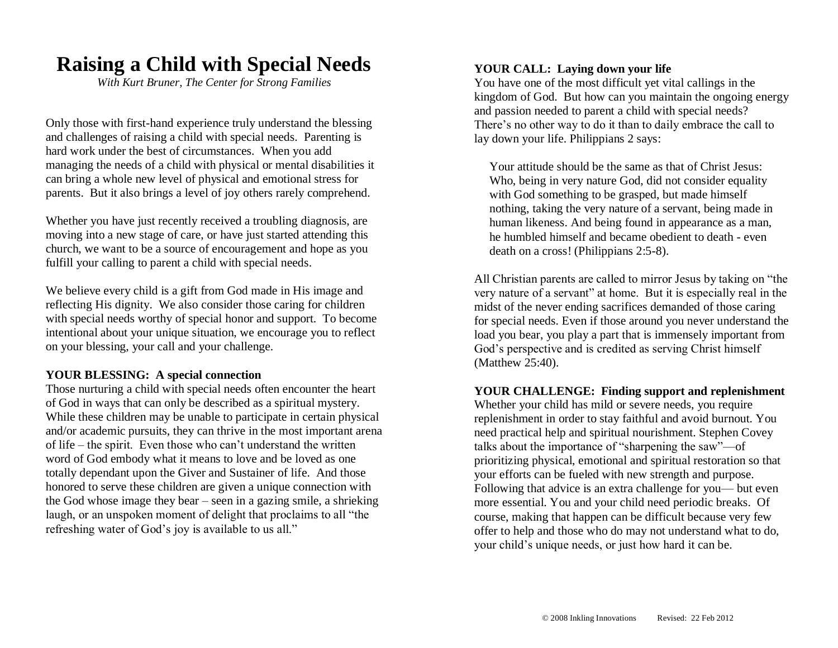# **Raising a Child with Special Needs**

*With Kurt Bruner, The Center for Strong Families*

Only those with first-hand experience truly understand the blessing and challenges of raising a child with special needs. Parenting is hard work under the best of circumstances. When you add managing the needs of a child with physical or mental disabilities it can bring a whole new level of physical and emotional stress for parents. But it also brings a level of joy others rarely comprehend.

Whether you have just recently received a troubling diagnosis, are moving into a new stage of care, or have just started attending this church, we want to be a source of encouragement and hope as you fulfill your calling to parent a child with special needs.

We believe every child is a gift from God made in His image and reflecting His dignity. We also consider those caring for children with special needs worthy of special honor and support. To become intentional about your unique situation, we encourage you to reflect on your blessing, your call and your challenge.

### **YOUR BLESSING: A special connection**

Those nurturing a child with special needs often encounter the heart of God in ways that can only be described as a spiritual mystery. While these children may be unable to participate in certain physical and/or academic pursuits, they can thrive in the most important arena of life – the spirit. Even those who can't understand the written word of God embody what it means to love and be loved as one totally dependant upon the Giver and Sustainer of life. And those honored to serve these children are given a unique connection with the God whose image they bear – seen in a gazing smile, a shrieking laugh, or an unspoken moment of delight that proclaims to all "the refreshing water of God's joy is available to us all."

## **YOUR CALL: Laying down your life**

You have one of the most difficult yet vital callings in the kingdom of God. But how can you maintain the ongoing energy and passion needed to parent a child with special needs? There's no other way to do it than to daily embrace the call to lay down your life. Philippians 2 says:

Your attitude should be the same as that of Christ Jesus: Who, being in very nature God, did not consider equality with God something to be grasped, but made himself nothing, taking the very nature of a servant, being made in human likeness. And being found in appearance as a man, he humbled himself and became obedient to death - even death on a cross! (Philippians 2:5-8).

All Christian parents are called to mirror Jesus by taking on "the very nature of a servant" at home. But it is especially real in the midst of the never ending sacrifices demanded of those caring for special needs. Even if those around you never understand the load you bear, you play a part that is immensely important from God's perspective and is credited as serving Christ himself (Matthew 25:40).

### **YOUR CHALLENGE: Finding support and replenishment**

Whether your child has mild or severe needs, you require replenishment in order to stay faithful and avoid burnout. You need practical help and spiritual nourishment. Stephen Covey talks about the importance of "sharpening the saw"—of prioritizing physical, emotional and spiritual restoration so that your efforts can be fueled with new strength and purpose. Following that advice is an extra challenge for you— but even more essential. You and your child need periodic breaks. Of course, making that happen can be difficult because very few offer to help and those who do may not understand what to do, your child's unique needs, or just how hard it can be.